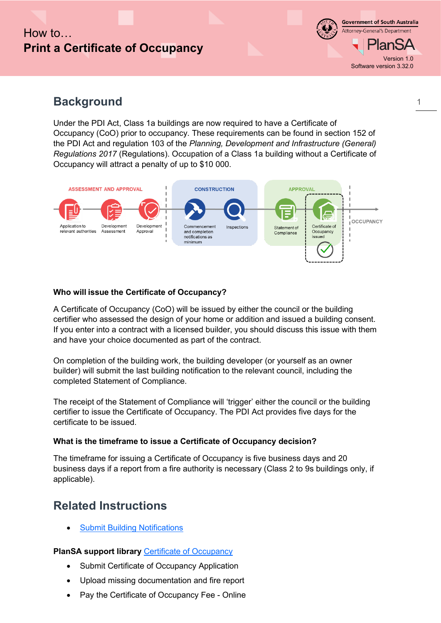# How to **Print a Certificate of Occupancy**

**Government of South Australia** Attorney-General's Department lan S Version 1.0 Software version 3.32.0

1

### **Background**

Under the PDI Act, Class 1a buildings are now required to have a Certificate of Occupancy (CoO) prior to occupancy. These requirements can be found in section 152 of the PDI Act and regulation 103 of the *Planning, Development and Infrastructure (General) Regulations 2017* (Regulations). Occupation of a Class 1a building without a Certificate of Occupancy will attract a penalty of up to \$10 000.



### **Who will issue the Certificate of Occupancy?**

A Certificate of Occupancy (CoO) will be issued by either the council or the building certifier who assessed the design of your home or addition and issued a building consent. If you enter into a contract with a licensed builder, you should discuss this issue with them and have your choice documented as part of the contract.

On completion of the building work, the building developer (or yourself as an owner builder) will submit the last building notification to the relevant council, including the completed Statement of Compliance.

The receipt of the Statement of Compliance will 'trigger' either the council or the building certifier to issue the Certificate of Occupancy. The PDI Act provides five days for the certificate to be issued.

### **What is the timeframe to issue a Certificate of Occupancy decision?**

The timeframe for issuing a Certificate of Occupancy is five business days and 20 business days if a report from a fire authority is necessary (Class 2 to 9s buildings only, if applicable).

## **Related Instructions**

**[Submit Building Notifications](https://plan.sa.gov.au/__data/assets/pdf_file/0007/719872/Guide_-_Submit_a_Building_Notification.pdf)** 

### **PlanSA support library [Certificate of Occupancy](https://plan.sa.gov.au/about/support_library/certificate_of_occupancy)**

- Submit Certificate of Occupancy Application
- Upload missing documentation and fire report
- Pay the Certificate of Occupancy Fee Online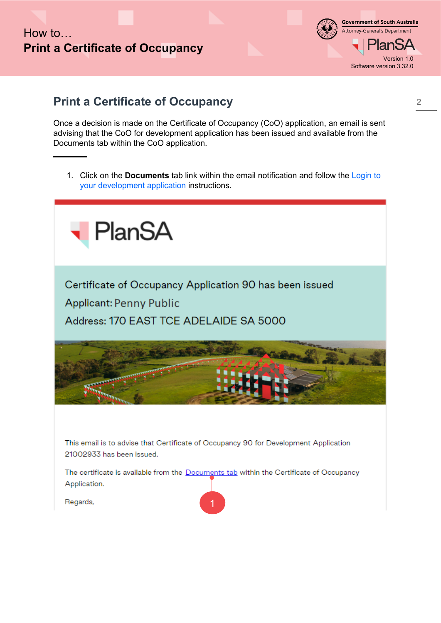#### **Government of South Australia** Attorney-General's Department anSA Version 1.0 Software version 3.32.0

### **Print a Certificate of Occupancy**

Once a decision is made on the Certificate of Occupancy (CoO) application, an email is sent advising that the CoO for development application has been issued and available from the Documents tab within the CoO application.

1. Click on the **Documents** tab link within the email notification and follow the Login to your development application instructions.



Certificate of Occupancy Application 90 has been issued **Applicant: Penny Public** Address: 170 EAST TCE ADELAIDE SA 5000



This email is to advise that Certificate of Occupancy 90 for Development Application 21002933 has been issued.

The certificate is available from the Documents tab within the Certificate of Occupancy Application.

1

Regards,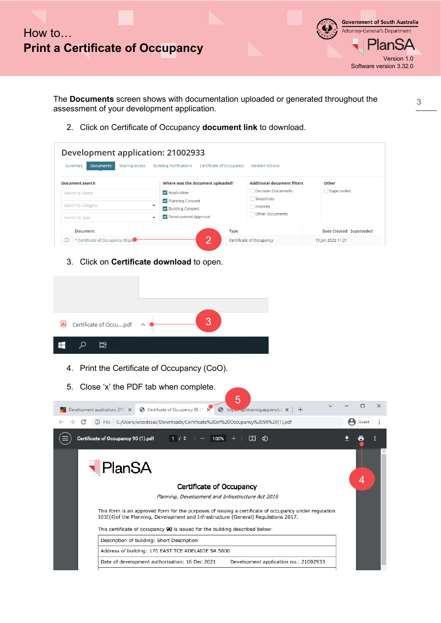

**Government of South Australia** Attorney-General's Department an. Version 1.0 Software version 3.32.0

The **Documents** screen shows with documentation uploaded or generated throughout the assessment of your development application.

2. Click on Certificate of Occupancy **document link** to download.

|                                                                                                | Sharing access<br><b>Building Notifications</b><br>Certificate of Occupancy                                                | <b>Related Actions</b>                                                                                |                         |
|------------------------------------------------------------------------------------------------|----------------------------------------------------------------------------------------------------------------------------|-------------------------------------------------------------------------------------------------------|-------------------------|
| <b>Document search</b><br>Search by Name<br>Search by Category<br>Search by Type               | Where was the document uploaded?<br><b>v</b> Application<br>Planning Consent<br>√ Building Consent<br>Development Approval | <b>Additional document filters</b><br>Decision Documents<br>Snapshots<br>Invoices<br>Other Documents  | Other<br>Superseded     |
| <b>Document</b>                                                                                |                                                                                                                            | <b>Type</b>                                                                                           | Date Created Superseded |
| * Certificate of Occupancy 90.pd<br>$\Box$                                                     | 2                                                                                                                          | Certificate of Occupancy                                                                              | 19 Jan 2022 11:21       |
| 国<br>Certificate of Occupdf<br>Ħ<br>ρ<br>╫<br>4.<br>Close 'x' the PDF tab when complete.<br>5. | 3<br>Print the Certificate of Occupancy (CoO).                                                                             |                                                                                                       |                         |
|                                                                                                | Certificate of Occupancy 90 (1) X                                                                                          | 5<br>https://dptitraining.appianclou X<br>$\pm$                                                       | □                       |
| Development application: 210 X                                                                 |                                                                                                                            |                                                                                                       |                         |
| C                                                                                              | 40 File   C:/Users/woodssas/Downloads/Certificate%20of%20Occupancy%2090%20(1).pdf                                          |                                                                                                       | Guest                   |
| Certificate of Occupancy 90 (1).pdf                                                            | 1/2<br>100%                                                                                                                | H<br>◇                                                                                                |                         |
|                                                                                                |                                                                                                                            |                                                                                                       |                         |
|                                                                                                | <b>Certificate of Occupancy</b>                                                                                            |                                                                                                       | 4                       |
|                                                                                                | Planning, Development and Infrastructure Act 2016                                                                          |                                                                                                       |                         |
|                                                                                                | 103E(4) of the Planning, Development and Infrastructure (General) Regulations 2017.                                        | This form is an approved form for the purposes of issuing a certificate of occupancy under regulation |                         |
|                                                                                                | This certificate of occupancy 90 is issued for the building described below:                                               |                                                                                                       |                         |
|                                                                                                | Description of building: Short Description                                                                                 |                                                                                                       |                         |